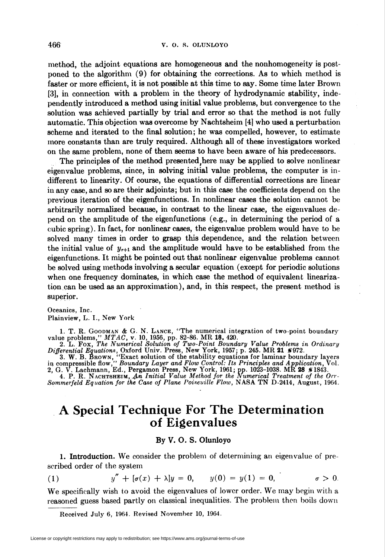method, the adjoint equations are homogeneous and the nonhomogeneity is postponed to the algorithm (9) for obtaining the corrections. As to which method is faster or more efficient, it is not possible at this time to say. Some time later Brown [3], in connection with a problem in the theory of hydrodynamic stability, independently introduced a method using initial value problems, but convergence to the solution was achieved partially by trial and error so that the method is not fully automatic. This objection was overcome by Nachtsheim [4] who used a perturbation scheme and iterated to the final solution; he was compelled, however, to estimate more constants than are truly required. Although all of these investigators worked on the same problem, none of them seems to have been aware of his predecessors.

The principles of the method presented (here may be applied to solve nonlinear eigenvalue problems, since, in solving initial value problems, the computer is indifferent to linearity. Of course, the equations of differential corrections are linear in any case, and so are their adjoints; but in this case the coefficients depend on the previous iteration of the eigenfunctions. In nonlinear cases the solution cannot be arbitrarily normalized because, in contrast to the linear case, the eigenvalues depend on the amplitude of the eigenfunctions (e.g., in determining the period of a cubic spring). In fact, for nonlinear cases, the eigenvalue problem would have to be solved many times in order to grasp this dependence, and the relation between the initial value of  $y_{r+1}$  and the amplitude would have to be established from the eigenfunctions. It might be pointed out that nonlinear eigenvalue problems cannot be solved using methods involving a secular equation (except for periodic solutions when one frequency dominates, in which case the method of equivalent linearization can be used as an approximation), and, in this respect, the present method is superior.

Oceanics, Inc. Plainview, L. I., New York

1. T. R. GOODMAN & G. N. LANCE, "The numerical integration of two-point boundary<br>value problems,"  $MTAC$ , v. 10, 1956, pp. 82–86. MR 18, 420.<br>2. L. Fox, The Numerical Solution of Two-Point Boundary Value Problems in Ordinar

in compressible flow," Boundary Layer and Flow Control: Its Principles and Application, Vol.<br>2, G. V. Lachmann, Ed., Pergamon Press, New York, 1961; pp. 1023–1038. MR 28 \*1843.<br>4. P. R. NACHTSHEIM, An Initial Value Method

## A Special Technique For The Determination of Eigenvalues

## By V. O. S. Olunloyo

1. Introduction. We consider the problem of determining an eigenvalue of prescribed order of the system

(1) 
$$
y'' + [\sigma(x) + \lambda]y = 0, \qquad y(0) = y(1) = 0, \qquad \sigma > 0.
$$

We specifically wish to avoid the eigenvalues of lower order. We may begin with a reasoned guess based partly on classical inequalities. The problem then boils down

Received July 6, 1964. Revised November 10, 1964.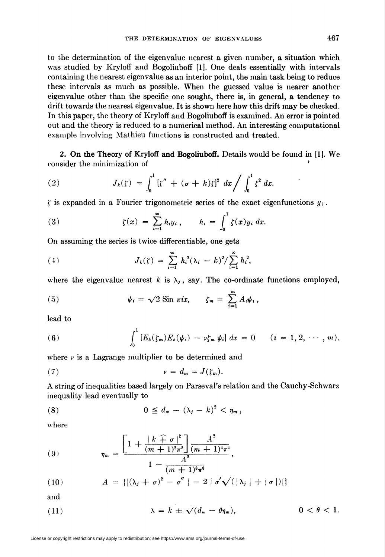to the determination of the eigenvalue nearest a given number, a situation which was studied by Kryloff and Bogoliuboff [1]. One deals essentially with intervals containing the nearest eigenvalue as an interior point, the main task being to reduce these intervals as much as possible. When the guessed value is nearer another eigenvalue other than the specific one sought, there is, in general, a tendency to drift towards the nearest eigenvalue. It is shown here how this drift may be checked. In this paper, the theory of Kryloff and Bogoliuboff is examined. An error is pointed out and the theory is reduced to a numerical method. An interesting computational example involving Mathieu functions is constructed and treated.

2. On the Theory of Kryloff and Bogoliuboff. Details would be found in [1]. We consider the minimization of '

(2) 
$$
J_k(\zeta) = \int_0^1 [\zeta'' + (\sigma + k)\zeta]^2 dx / \int_0^1 \zeta^2 dx.
$$

f is expanded in a Fourier trigonometric series of the exact eigenfunctions  $y_i$ .

(3) 
$$
\zeta(x) = \sum_{i=1}^{\infty} h_i y_i, \qquad h_i = \int_0^1 \zeta(x) y_i dx.
$$

On assuming the series is twice differentiable, one gets

(4) 
$$
J_k(\zeta) = \sum_{i=1}^{\infty} h_i^2 (\lambda_i - k)^2 / \sum_{i=1}^{\infty} h_i^2,
$$

where the eigenvalue nearest k is  $\lambda_j$ , say. The co-ordinate functions employed,

(5) 
$$
\psi_i = \sqrt{2} \sin \pi i x, \qquad \zeta_m = \sum_{i=1}^m A_i \psi_i,
$$

lead to

(6) 
$$
\int_0^1 [E_k(\zeta_m) E_k(\psi_i) - \nu \zeta_m \psi_i] dx = 0 \qquad (i = 1, 2, \cdots, m),
$$

where  $\nu$  is a Lagrange multiplier to be determined and

$$
\nu = d_m = J(\zeta_m).
$$

A string of inequalities based largely on Parseval's relation and the Cauchy-Schwarz inequality lead eventually to

$$
(8) \t\t 0 \leq d_m - (\lambda_j - k)^2 < \eta_m,
$$

where

(9) 
$$
\eta_m = \frac{\left[1 + \frac{|k+1|^{2}}{(m+1)^{2} \pi^{2}}\right] \frac{A^{2}}{(m+1)^{4} \pi^{4}}}{1 - \frac{A^{2}}{(m+1)^{8} \pi^{3}}},
$$

(10) 
$$
A = \{ |(\lambda_j + \sigma)^2 - \sigma''| - 2 | \sigma' \sqrt{(|\lambda_j| + |\sigma|)}| \}
$$

and

(11) 
$$
\lambda = k \pm \sqrt{(d_m - \theta \eta_m)}, \qquad 0 < \theta < 1.
$$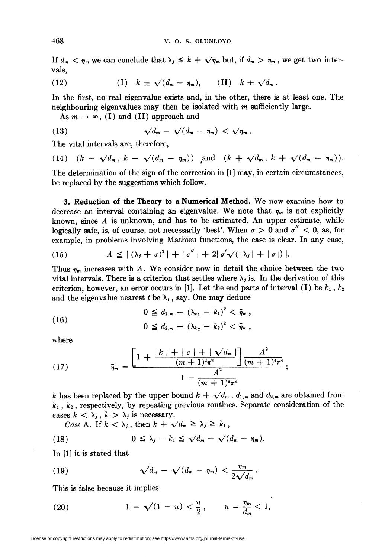If  $d_m < \eta_m$  we can conclude that  $\lambda_j \leq k + \sqrt{\eta_m}$  but, if  $d_m > \eta_m$ , we get two intervals,

(12) 
$$
(I) \quad k \pm \sqrt{(d_m - \eta_m)}, \quad (II) \quad k \pm \sqrt{d_m}.
$$

In the first, no real eigenvalue exists and, in the other, there is at least one. The neighbouring eigenvalues may then be isolated with  $m$  sufficiently large.

As  $m \to \infty$ , (I) and (II) approach and

(13) 
$$
\sqrt{d_m} - \sqrt{(d_m - \eta_m)} < \sqrt{\eta_m}.
$$

The vital intervals are, therefore,

(14) 
$$
(k - \sqrt{d_m}, k - \sqrt{(d_m - \eta_m)})
$$
 and  $(k + \sqrt{d_m}, k + \sqrt{(d_m - \eta_m)})$ .

The determination of the sign of the correction in [1] may, in certain circumstances, be replaced by the suggestions which follow.

3. Reduction of the Theory to a Numerical Method. We now examine how to decrease an interval containing an eigenvalue. We note that  $\eta_m$  is not explicitly known, since  $A$  is unknown, and has to be estimated. An upper estimate, while logically safe, is, of course, not necessarily 'best'. When  $\sigma > 0$  and  $\sigma'' < 0$ , as, for example, in problems involving Mathieu functions, the case is clear. In any case,

(15) 
$$
A \leq |(\lambda_j + \sigma)^2| + |\sigma''| + 2|\sigma'\sqrt{(\lambda_j| + |\sigma|)}|.
$$

Thus  $\eta_m$  increases with A. We consider now in detail the choice between the two vital intervals. There is a criterion that settles where  $\lambda_j$  is. In the derivation of this criterion, however, an error occurs in [1]. Let the end parts of interval (I) be  $k_1$ ,  $k_2$ and the eigenvalue nearest t be  $\lambda_t$ , say. One may deduce

(16) 
$$
0 \leq d_{1,m} - (\lambda_{k_1} - k_1)^2 < \bar{\eta}_m,
$$

$$
0 \leq d_{2,m} - (\lambda_{k_2} - k_2)^2 < \bar{\eta}_m,
$$

where

(17) 
$$
\bar{\eta}_m = \frac{\left[1 + \frac{|k| + |\sigma| + |\sqrt{d_m}|}{(m+1)^2 \pi^2}\right] \frac{A^2}{(m+1)^4 \pi^4}}{1 - \frac{A^2}{(m+1)^8 \pi^8}};
$$

k has been replaced by the upper bound  $k + \sqrt{d_m} \cdot d_{1,m}$  and  $d_{2,m}$  are obtained from  $k_1$ ,  $k_2$ , respectively, by repeating previous routines. Separate consideration of the cases  $k < \lambda_j$ ,  $k > \lambda_j$  is necessary.

Case A. If  $k < \lambda_j$ , then  $k + \sqrt{d_m} \geq \lambda_j \geq k_1$ ,

(18) 
$$
0 \leq \lambda_j - k_1 \leq \sqrt{d_m} - \sqrt{(d_m - \eta_m)}.
$$

In [l] it is stated that

(19) 
$$
\sqrt{d_m} - \sqrt{(d_m - \eta_m)} < \frac{\eta_m}{2\sqrt{d_m}}.
$$

This is false because it implies

(20) 
$$
1 - \sqrt{1 - u} < \frac{u}{2}, \qquad u = \frac{\eta_m}{d_m} < 1,
$$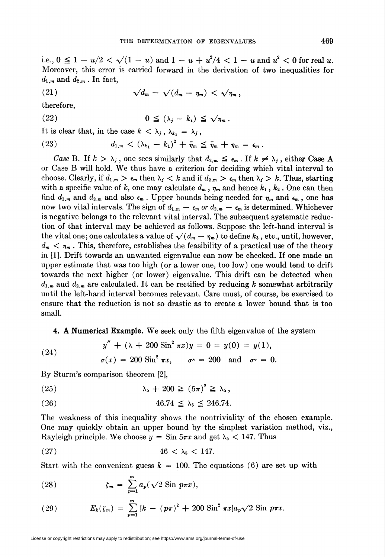i.e.,  $0 \leq 1 - u/2 < \sqrt{(1 - u)}$  and  $1 - u + u^2/4 < 1 - u$  and  $u^2 < 0$  for real u. Moreover, this error is carried forward in the derivation of two inequalities for  $d_{1,m}$  and  $d_{2,m}$ . In fact,

(21) 
$$
\sqrt{d_m} - \sqrt{(d_m - \eta_m)} < \sqrt{\eta_m} \,,
$$

therefore,

(22) 
$$
0 \leq (\lambda_j - k_1) \leq \sqrt{\eta_m}.
$$

It is clear that, in the case  $k < \lambda_j$ ,  $\lambda_k = \lambda_j$ ,

(23) 
$$
d_{1,m} < (\lambda_{k_1} - k_1)^2 + \overline{\eta}_m \leq \overline{\eta}_m + \eta_m = \epsilon_m.
$$

Case B. If  $k > \lambda_j$ , one sees similarly that  $d_{2,m} \leq \epsilon_m$ . If  $k \neq \lambda_j$ , either Case A or Case B will hold. We thus have a criterion for deciding which vital interval to choose. Clearly, if  $d_{1,m} > \epsilon_m$  then  $\lambda_j < k$  and if  $d_{2,m} > \epsilon_m$  then  $\lambda_j > k$ . Thus, starting with a specific value of k, one may calculate  $d_m$ ,  $\eta_m$  and hence  $k_1$ ,  $k_2$ . One can then find  $d_{1,m}$  and  $d_{2,m}$  and also  $\epsilon_m$ . Upper bounds being needed for  $\eta_m$  and  $\epsilon_m$ , one has now two vital intervals. The sign of  $d_{1,m} - \epsilon_m$  or  $d_{2,m} - \epsilon_m$  is determined. Whichever is negative belongs to the relevant vital interval. The subsequent systematic reduction of that interval may be achieved as follows. Suppose the left-hand interval is the vital one; one calculates a value of  $\sqrt{(d_m - \eta_m)}$  to define  $k_3$ , etc., until, however,  $d_m < \eta_m$ . This, therefore, establishes the feasibility of a practical use of the theory in [1]. Drift towards an unwanted eigenvalue can now be checked. If one made an upper estimate that was too high (or a lower one, too low) one would tend to drift towards the next higher (or lower) eigenvalue. This drift can be detected when  $d_{1,m}$  and  $d_{2,m}$  are calculated. It can be rectified by reducing k somewhat arbitrarily until the left-hand interval becomes relevant. Care must, of course, be exercised to ensure that the reduction is not so drastic as to create a lower bound that is too small.

4. A Numerical Example. We seek only the fifth eigenvalue of the system

(24) 
$$
y'' + (\lambda + 200 \sin^2 \pi x) y = 0 = y(0) = y(1),
$$

$$
\sigma(x) = 200 \sin^2 \pi x, \quad \sigma^2 = 200 \text{ and } \sigma^2 = 0.
$$

By Sturm's comparison theorem [2],

$$
\lambda_{5} + 200 \geq (5\pi)^{2} \geq \lambda_{5},
$$

(26) 
$$
46.74 \le \lambda_5 \le 246.74
$$
.

The weakness of this inequality shows the nontriviality of the chosen example. One may quickly obtain an upper bound by the simplest variation method, viz., Rayleigh principle. We choose  $y = \text{Sin } 5\pi x$  and get  $\lambda_5 < 147$ . Thus

$$
(27) \qquad \qquad 46 < \lambda_5 < 147.
$$

Start with the convenient guess  $k = 100$ . The equations (6) are set up with

(28) 
$$
\zeta_m = \sum_{p=1}^m a_p(\sqrt{2} \sin p\pi x),
$$

(29) 
$$
E_k(\zeta_m) = \sum_{p=1}^m [k - (p\pi)^2 + 200 \sin^2 \pi x] a_p \sqrt{2} \sin p\pi x.
$$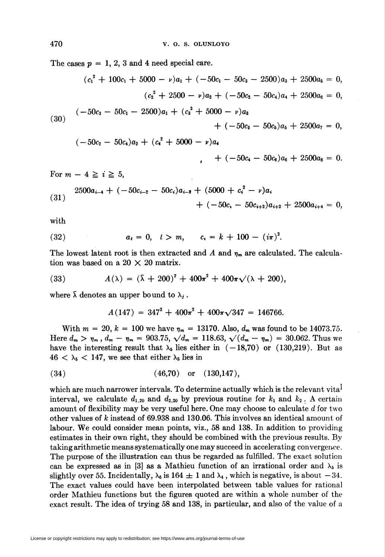The cases  $p = 1, 2, 3$  and 4 need special care.

$$
(c_1^2 + 100c_1 + 5000 - \nu)a_1 + (-50c_1 - 50c_3 - 2500)a_3 + 2500a_5 = 0,
$$
  
\n
$$
(c_2^2 + 2500 - \nu)a_2 + (-50c_2 - 50c_4)a_4 + 2500a_6 = 0,
$$
  
\n
$$
(-50c_3 - 50c_1 - 2500)a_1 + (c_3^2 + 5000 - \nu)a_3 + (-50c_3 - 50c_5)a_5 + 2500a_7 = 0,
$$
  
\n
$$
(-50c_2 - 50c_4)a_2 + (c_4^2 + 5000 - \nu)a_4 + (-50c_4 - 50c_6)a_6 + 2500a_8 = 0.
$$

For  $m - 4 \geq i \geq 5$ ,

$$
(31) \quad 2500a_{i-4} + (-50c_{i-2} - 50c_i)a_{i-2} + (5000 + c_i^2 - \nu)a_i
$$

$$
+ (-50c_i - 50c_{i+2})a_{i+2} + 2500a_{i+4} = 0,
$$

with

(32) 
$$
a_t = 0
$$
,  $t > m$ ,  $c_t = k + 100 - (i\pi)^2$ .

The lowest latent root is then extracted and A and  $\eta_m$  are calculated. The calculation was based on a 20  $\times$  20 matrix.

(33) 
$$
A(\lambda) = (\bar{\lambda} + 200)^2 + 400\pi^2 + 400\pi\sqrt{(\lambda + 200)},
$$

where  $\bar{\lambda}$  denotes an upper bound to  $\lambda_j$ .

$$
A(147) = 347^2 + 400\pi^2 + 400\pi\sqrt{347} = 146766.
$$

With  $m = 20$ ,  $k = 100$  we have  $\eta_m = 13170$ . Also,  $d_m$  was found to be 14073.75. Here  $d_m > \eta_m$ ,  $d_m - \eta_m = 903.75$ ,  $\sqrt{d_m} = 118.63$ ,  $\sqrt{(d_m - \eta_m)} = 30.062$ . Thus we have the interesting result that  $\lambda_5$  lies either in  $(-18,70)$  or (130,219). But as  $46 < \lambda_5 < 147$ , we see that either  $\lambda_5$  lies in

$$
(34) \t(46,70) or (130,147),
$$

which are much narrower intervals. To determine actually which is the relevant vita $^1$ interval, we calculate  $d_{1,20}$  and  $d_{2,20}$  by previous routine for  $k_1$  and  $k_2$ . A certain amount of flexibility may be very useful here. One may choose to calculate d for two other values of k instead of  $69.938$  and  $130.06$ . This involves an identical amount of labour. We could consider mean points, viz., 58 and 138. In addition to providing estimates in their own right, they should be combined with the previous results. By taking arithmetic means systematically one may succeed in accelerating convergence. The purpose of the illustration can thus be regarded as fulfilled. The exact solution can be expressed as in [3] as a Mathieu function of an irrational order and  $\lambda_5$  is slightly over 55. Incidentally,  $\lambda_6$  is 164  $\pm$  1 and  $\lambda_4$ , which is negative, is about  $-34$ . The exact values could have been interpolated between table values for rational order Mathieu functions but the figures quoted are within a whole number of the exact result. The idea of trying 58 and 138, in particular, and also of the value of a

License or copyright restrictions may apply to redistribution; see https://www.ams.org/journal-terms-of-use